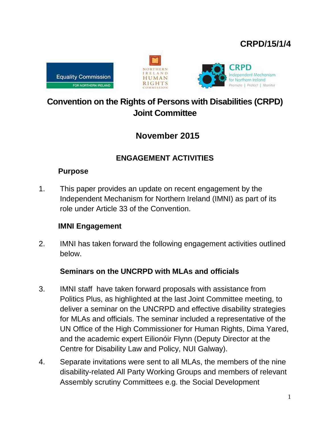## **CRPD/15/1/4**







# **Convention on the Rights of Persons with Disabilities (CRPD) Joint Committee**

## **November 2015**

## **ENGAGEMENT ACTIVITIES**

### **Purpose**

1. This paper provides an update on recent engagement by the Independent Mechanism for Northern Ireland (IMNI) as part of its role under Article 33 of the Convention.

## **IMNI Engagement**

2. IMNI has taken forward the following engagement activities outlined below.

## **Seminars on the UNCRPD with MLAs and officials**

- 3. IMNI staff have taken forward proposals with assistance from Politics Plus, as highlighted at the last Joint Committee meeting, to deliver a seminar on the UNCRPD and effective disability strategies for MLAs and officials. The seminar included a representative of the UN Office of the High Commissioner for Human Rights, Dima Yared, and the academic expert Eilionóir Flynn (Deputy Director at the Centre for Disability Law and Policy, NUI Galway).
- 4. Separate invitations were sent to all MLAs, the members of the nine disability-related All Party Working Groups and members of relevant Assembly scrutiny Committees e.g. the Social Development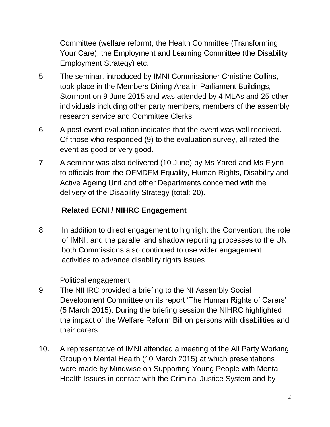Committee (welfare reform), the Health Committee (Transforming Your Care), the Employment and Learning Committee (the Disability Employment Strategy) etc.

- 5. The seminar, introduced by IMNI Commissioner Christine Collins, took place in the Members Dining Area in Parliament Buildings, Stormont on 9 June 2015 and was attended by 4 MLAs and 25 other individuals including other party members, members of the assembly research service and Committee Clerks.
- 6. A post-event evaluation indicates that the event was well received. Of those who responded (9) to the evaluation survey, all rated the event as good or very good.
- 7. A seminar was also delivered (10 June) by Ms Yared and Ms Flynn to officials from the OFMDFM Equality, Human Rights, Disability and Active Ageing Unit and other Departments concerned with the delivery of the Disability Strategy (total: 20).

## **Related ECNI / NIHRC Engagement**

8. In addition to direct engagement to highlight the Convention; the role of IMNI; and the parallel and shadow reporting processes to the UN, both Commissions also continued to use wider engagement activities to advance disability rights issues.

## Political engagement

- 9. The NIHRC provided a briefing to the NI Assembly Social Development Committee on its report 'The Human Rights of Carers' (5 March 2015). During the briefing session the NIHRC highlighted the impact of the Welfare Reform Bill on persons with disabilities and their carers.
- 10. A representative of IMNI attended a meeting of the All Party Working Group on Mental Health (10 March 2015) at which presentations were made by Mindwise on Supporting Young People with Mental Health Issues in contact with the Criminal Justice System and by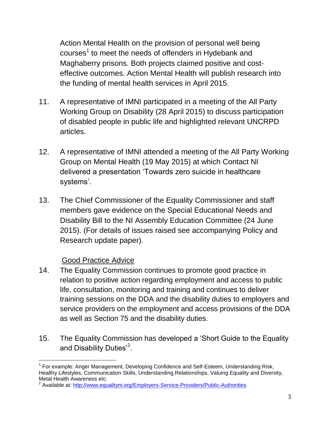Action Mental Health on the provision of personal well being courses<sup>1</sup> to meet the needs of offenders in Hydebank and Maghaberry prisons. Both projects claimed positive and costeffective outcomes. Action Mental Health will publish research into the funding of mental health services in April 2015.

- 11. A representative of IMNI participated in a meeting of the All Party Working Group on Disability (28 April 2015) to discuss participation of disabled people in public life and highlighted relevant UNCRPD articles.
- 12. A representative of IMNI attended a meeting of the All Party Working Group on Mental Health (19 May 2015) at which Contact NI delivered a presentation 'Towards zero suicide in healthcare systems'.
- 13. The Chief Commissioner of the Equality Commissioner and staff members gave evidence on the Special Educational Needs and Disability Bill to the NI Assembly Education Committee (24 June 2015). (For details of issues raised see accompanying Policy and Research update paper).

### Good Practice Advice

- 14. The Equality Commission continues to promote good practice in relation to positive action regarding employment and access to public life, consultation, monitoring and training and continues to deliver training sessions on the DDA and the disability duties to employers and service providers on the employment and access provisions of the DDA as well as Section 75 and the disability duties.
- 15. The Equality Commission has developed a 'Short Guide to the Equality and Disability Duties'<sup>2</sup>.

 $\overline{a}$ <sup>1</sup> For example: Anger Management, Developing Confidence and Self-Esteem, Understanding Risk, Healthy Lifestyles, Communication Skills, Understanding Relationships, Valuing Equality and Diversity, Metal Health Awareness etc.

<sup>&</sup>lt;sup>2</sup> Available at:<http://www.equalityni.org/Employers-Service-Providers/Public-Authorities>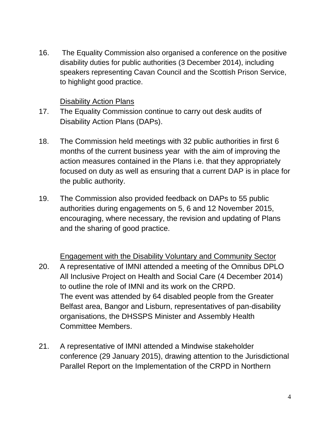16. The Equality Commission also organised a conference on the positive disability duties for public authorities (3 December 2014), including speakers representing Cavan Council and the Scottish Prison Service, to highlight good practice.

#### Disability Action Plans

- 17. The Equality Commission continue to carry out desk audits of Disability Action Plans (DAPs).
- 18. The Commission held meetings with 32 public authorities in first 6 months of the current business year with the aim of improving the action measures contained in the Plans i.e. that they appropriately focused on duty as well as ensuring that a current DAP is in place for the public authority.
- 19. The Commission also provided feedback on DAPs to 55 public authorities during engagements on 5, 6 and 12 November 2015, encouraging, where necessary, the revision and updating of Plans and the sharing of good practice.

Engagement with the Disability Voluntary and Community Sector 20. A representative of IMNI attended a meeting of the Omnibus DPLO All Inclusive Project on Health and Social Care (4 December 2014) to outline the role of IMNI and its work on the CRPD. The event was attended by 64 disabled people from the Greater Belfast area, Bangor and Lisburn, representatives of pan-disability organisations, the DHSSPS Minister and Assembly Health Committee Members.

21. A representative of IMNI attended a Mindwise stakeholder conference (29 January 2015), drawing attention to the Jurisdictional Parallel Report on the Implementation of the CRPD in Northern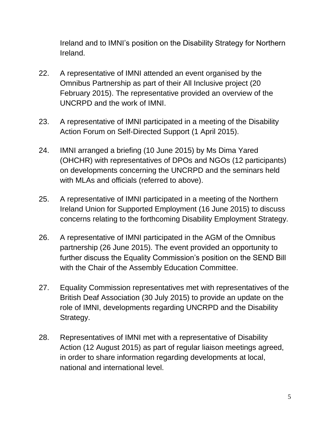Ireland and to IMNI's position on the Disability Strategy for Northern Ireland.

- 22. A representative of IMNI attended an event organised by the Omnibus Partnership as part of their All Inclusive project (20 February 2015). The representative provided an overview of the UNCRPD and the work of IMNI.
- 23. A representative of IMNI participated in a meeting of the Disability Action Forum on Self-Directed Support (1 April 2015).
- 24. IMNI arranged a briefing (10 June 2015) by Ms Dima Yared (OHCHR) with representatives of DPOs and NGOs (12 participants) on developments concerning the UNCRPD and the seminars held with MLAs and officials (referred to above).
- 25. A representative of IMNI participated in a meeting of the Northern Ireland Union for Supported Employment (16 June 2015) to discuss concerns relating to the forthcoming Disability Employment Strategy.
- 26. A representative of IMNI participated in the AGM of the Omnibus partnership (26 June 2015). The event provided an opportunity to further discuss the Equality Commission's position on the SEND Bill with the Chair of the Assembly Education Committee.
- 27. Equality Commission representatives met with representatives of the British Deaf Association (30 July 2015) to provide an update on the role of IMNI, developments regarding UNCRPD and the Disability Strategy.
- 28. Representatives of IMNI met with a representative of Disability Action (12 August 2015) as part of regular liaison meetings agreed, in order to share information regarding developments at local, national and international level.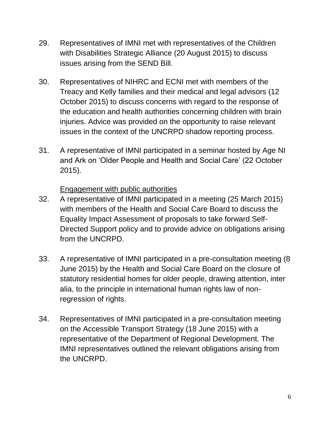- 29. Representatives of IMNI met with representatives of the Children with Disabilities Strategic Alliance (20 August 2015) to discuss issues arising from the SEND Bill.
- 30. Representatives of NIHRC and ECNI met with members of the Treacy and Kelly families and their medical and legal advisors (12 October 2015) to discuss concerns with regard to the response of the education and health authorities concerning children with brain injuries. Advice was provided on the opportunity to raise relevant issues in the context of the UNCRPD shadow reporting process.
- 31. A representative of IMNI participated in a seminar hosted by Age NI and Ark on 'Older People and Health and Social Care' (22 October 2015).

#### Engagement with public authorities

- 32. A representative of IMNI participated in a meeting (25 March 2015) with members of the Health and Social Care Board to discuss the Equality Impact Assessment of proposals to take forward Self-Directed Support policy and to provide advice on obligations arising from the UNCRPD.
- 33. A representative of IMNI participated in a pre-consultation meeting (8 June 2015) by the Health and Social Care Board on the closure of statutory residential homes for older people, drawing attention, inter alia, to the principle in international human rights law of nonregression of rights.
- 34. Representatives of IMNI participated in a pre-consultation meeting on the Accessible Transport Strategy (18 June 2015) with a representative of the Department of Regional Development. The IMNI representatives outlined the relevant obligations arising from the UNCRPD.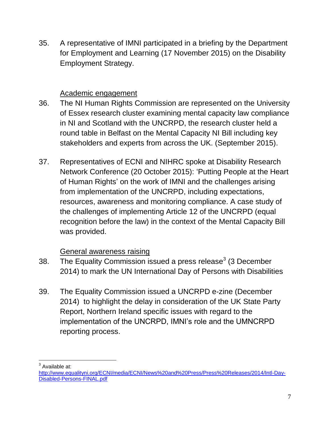35. A representative of IMNI participated in a briefing by the Department for Employment and Learning (17 November 2015) on the Disability Employment Strategy.

#### Academic engagement

- 36. The NI Human Rights Commission are represented on the University of Essex research cluster examining mental capacity law compliance in NI and Scotland with the UNCRPD, the research cluster held a round table in Belfast on the Mental Capacity NI Bill including key stakeholders and experts from across the UK. (September 2015).
- 37. Representatives of ECNI and NIHRC spoke at Disability Research Network Conference (20 October 2015): 'Putting People at the Heart of Human Rights' on the work of IMNI and the challenges arising from implementation of the UNCRPD, including expectations, resources, awareness and monitoring compliance. A case study of the challenges of implementing Article 12 of the UNCRPD (equal recognition before the law) in the context of the Mental Capacity Bill was provided.

### General awareness raising

- 38. The Equality Commission issued a press release<sup>3</sup> (3 December 2014) to mark the UN International Day of Persons with Disabilities
- 39. The Equality Commission issued a UNCRPD e-zine (December 2014) to highlight the delay in consideration of the UK State Party Report, Northern Ireland specific issues with regard to the implementation of the UNCRPD, IMNI's role and the UMNCRPD reporting process.

 $\overline{a}$ <sup>3</sup> Available at:

[http://www.equalityni.org/ECNI/media/ECNI/News%20and%20Press/Press%20Releases/2014/Intl-Day-](http://www.equalityni.org/ECNI/media/ECNI/News%20and%20Press/Press%20Releases/2014/Intl-Day-Disabled-Persons-FINAL.pdf)[Disabled-Persons-FINAL.pdf](http://www.equalityni.org/ECNI/media/ECNI/News%20and%20Press/Press%20Releases/2014/Intl-Day-Disabled-Persons-FINAL.pdf)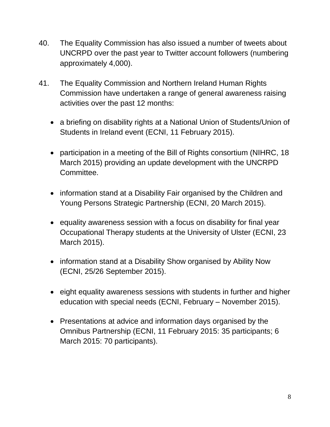- 40. The Equality Commission has also issued a number of tweets about UNCRPD over the past year to Twitter account followers (numbering approximately 4,000).
- 41. The Equality Commission and Northern Ireland Human Rights Commission have undertaken a range of general awareness raising activities over the past 12 months:
	- a briefing on disability rights at a National Union of Students/Union of Students in Ireland event (ECNI, 11 February 2015).
	- participation in a meeting of the Bill of Rights consortium (NIHRC, 18) March 2015) providing an update development with the UNCRPD Committee.
	- information stand at a Disability Fair organised by the Children and Young Persons Strategic Partnership (ECNI, 20 March 2015).
	- equality awareness session with a focus on disability for final year Occupational Therapy students at the University of Ulster (ECNI, 23 March 2015).
	- information stand at a Disability Show organised by Ability Now (ECNI, 25/26 September 2015).
	- eight equality awareness sessions with students in further and higher education with special needs (ECNI, February – November 2015).
	- Presentations at advice and information days organised by the Omnibus Partnership (ECNI, 11 February 2015: 35 participants; 6 March 2015: 70 participants).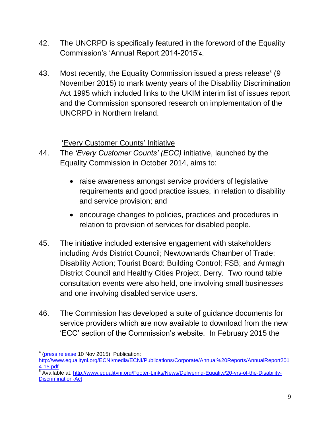- 42. The UNCRPD is specifically featured in the foreword of the Equality Commission's 'Annual Report 2014-2015'4.
- 43. Most recently, the Equality Commission issued a press release<sup>5</sup> (9 November 2015) to mark twenty years of the Disability Discrimination Act 1995 which included links to the UKIM interim list of issues report and the Commission sponsored research on implementation of the UNCRPD in Northern Ireland.

### 'Every Customer Counts' Initiative

- 44. The *'Every Customer Counts' (ECC)* initiative, launched by the Equality Commission in October 2014, aims to:
	- raise awareness amongst service providers of legislative requirements and good practice issues, in relation to disability and service provision; and
	- encourage changes to policies, practices and procedures in relation to provision of services for disabled people.
- 45. The initiative included extensive engagement with stakeholders including Ards District Council; Newtownards Chamber of Trade; Disability Action; Tourist Board: Building Control; FSB; and Armagh District Council and Healthy Cities Project, Derry. Two round table consultation events were also held, one involving small businesses and one involving disabled service users.
- 46. The Commission has developed a suite of guidance documents for service providers which are now available to download from the new 'ECC' section of the Commission's website. In February 2015 the

 $\overline{a}$ <sup>4</sup> [\(press release](http://www.equalityni.org/Footer-Links/News/Delivering-Equality/Equality-Commission-publishes-Annual-Report-2014-1) 10 Nov 2015); Publication:

[http://www.equalityni.org/ECNI/media/ECNI/Publications/Corporate/Annual%20Reports/AnnualReport201](http://www.equalityni.org/ECNI/media/ECNI/Publications/Corporate/Annual%20Reports/AnnualReport2014-15.pdf) [4-15.pdf](http://www.equalityni.org/ECNI/media/ECNI/Publications/Corporate/Annual%20Reports/AnnualReport2014-15.pdf)

<sup>&</sup>lt;sup>5</sup> Available at: [http://www.equalityni.org/Footer-Links/News/Delivering-Equality/20-yrs-of-the-Disability-](http://www.equalityni.org/Footer-Links/News/Delivering-Equality/20-yrs-of-the-Disability-Discrimination-Act)[Discrimination-Act](http://www.equalityni.org/Footer-Links/News/Delivering-Equality/20-yrs-of-the-Disability-Discrimination-Act)